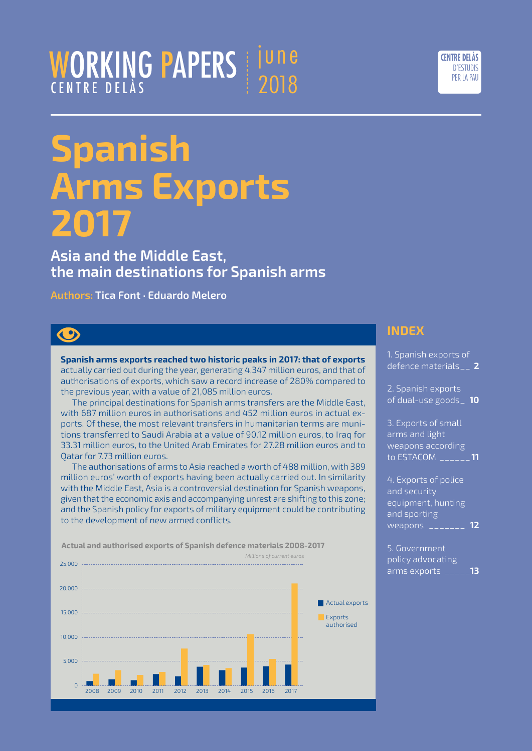## WORKING PAPERS CENTRE DELÀS june 2018



# **Spanish Arms Exports 2017**

**Asia and the Middle East, the main destinations for Spanish arms** 

**Authors: Tica Font · Eduardo Melero**

## $\bigcirc$

**Spanish arms exports reached two historic peaks in 2017: that of exports** actually carried out during the year, generating 4,347 million euros, and that of authorisations of exports, which saw a record increase of 280% compared to the previous year, with a value of 21,085 million euros.

The principal destinations for Spanish arms transfers are the Middle East, with 687 million euros in authorisations and 452 million euros in actual exports. Of these, the most relevant transfers in humanitarian terms are munitions transferred to Saudi Arabia at a value of 90.12 million euros, to Iraq for 33.31 million euros, to the United Arab Emirates for 27.28 million euros and to Qatar for 7.73 million euros.

The authorisations of arms to Asia reached a worth of 488 million, with 389 million euros' worth of exports having been actually carried out. In similarity with the Middle East, Asia is a controversial destination for Spanish weapons, given that the economic axis and accompanying unrest are shifting to this zone; and the Spanish policy for exports of military equipment could be contributing to the development of new armed conflicts.

**Actual and authorised exports of Spanish defence materials 2008-2017** 



## **INDEX**

| 1. Spanish exports of<br>defence materials__ 2                                                       |  |
|------------------------------------------------------------------------------------------------------|--|
| 2. Spanish exports<br>of dual-use goods_ 10                                                          |  |
| 3. Exports of small<br>arms and light<br>weapons according<br>to ESTACOM ______ <b>11</b>            |  |
| 4. Exports of police<br>and security<br>equipment, hunting<br>and sporting<br><u>weapons _______</u> |  |

[5. Government](#page-12-0)  [policy advocating](#page-12-0)  [arms exports](#page-12-0) \_\_\_\_\_**13**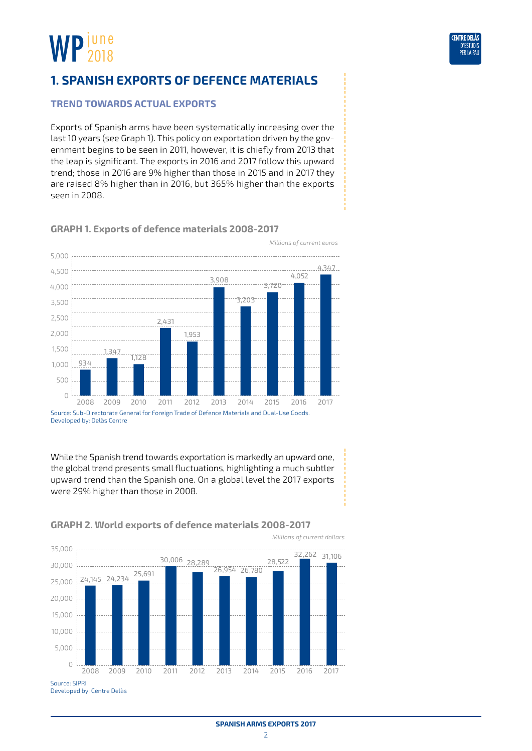<span id="page-1-0"></span>

'FNTRF DFI À D'ESTUDI: PER IA

### **Trend towards actual exports**

Exports of Spanish arms have been systematically increasing over the last 10 years (see Graph 1). This policy on exportation driven by the government begins to be seen in 2011, however, it is chiefly from 2013 that the leap is significant. The exports in 2016 and 2017 follow this upward trend; those in 2016 are 9% higher than those in 2015 and in 2017 they are raised 8% higher than in 2016, but 365% higher than the exports seen in 2008.



#### **GRAPH 1. Exports of defence materials 2008-2017**

While the Spanish trend towards exportation is markedly an upward one, the global trend presents small fluctuations, highlighting a much subtler upward trend than the Spanish one. On a global level the 2017 exports were 29% higher than those in 2008.



#### **GRAPH 2. World exports of defence materials 2008-2017**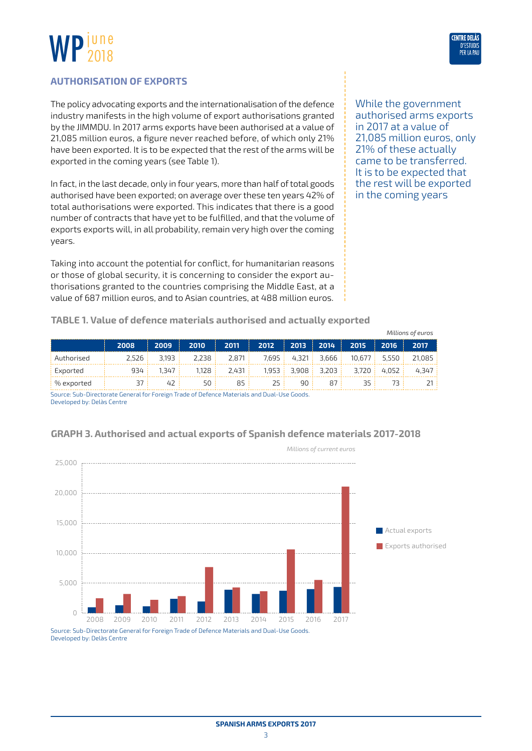

#### **AUTHORISATION OF EXPORTS**

The policy advocating exports and the internationalisation of the defence industry manifests in the high volume of export authorisations granted by the JIMMDU. In 2017 arms exports have been authorised at a value of 21,085 million euros, a figure never reached before, of which only 21% have been exported. It is to be expected that the rest of the arms will be exported in the coming years (see Table 1).

In fact, in the last decade, only in four years, more than half of total goods authorised have been exported; on average over these ten years 42% of total authorisations were exported. This indicates that there is a good number of contracts that have yet to be fulfilled, and that the volume of exports exports will, in all probability, remain very high over the coming years.

Taking into account the potential for conflict, for humanitarian reasons or those of global security, it is concerning to consider the export authorisations granted to the countries comprising the Middle East, at a value of 687 million euros, and to Asian countries, at 488 million euros.

While the government authorised arms exports in 2017 at a value of 21,085 million euros, only 21% of these actually came to be transferred. It is to be expected that the rest will be exported in the coming years

|  |  |  |  | TABLE 1. Value of defence materials authorised and actually exported |  |  |  |
|--|--|--|--|----------------------------------------------------------------------|--|--|--|
|--|--|--|--|----------------------------------------------------------------------|--|--|--|

|                          |      |                 |                                                               |                     |  |              |                                                 |       | Millions of euros |
|--------------------------|------|-----------------|---------------------------------------------------------------|---------------------|--|--------------|-------------------------------------------------|-------|-------------------|
|                          | 2008 | 2009            | 2010                                                          | $\parallel$ 2011    |  |              | 2012   2013   2014   2015   2 <u>016   2017</u> |       |                   |
| Authorised               |      |                 | 2,526 3,193 2,238 2,871 7,695 4,321 3,666 10,677 5,550 21,085 |                     |  |              |                                                 |       |                   |
| Exported                 |      | 934:1347:       |                                                               | $1.128$ $\pm$ 2.431 |  |              | 1,953   3,908   3,203   3,720   4,052   4,347   |       |                   |
| $\frac{1}{2}$ % exported | 37 I | 42 <sup>1</sup> | 50 L                                                          | 85.1                |  | 25   90   87 |                                                 | 35 73 |                   |
|                          |      |                 |                                                               |                     |  |              |                                                 |       |                   |

Source: Sub-Directorate General for Foreign Trade of Defence Materials and Dual-Use Goods. Developed by: Delàs Centre



#### **GRAPH 3. Authorised and actual exports of Spanish defence materials 2017-2018**

Source: Sub-Directorate General for Foreign Trade of Defence Materials and Dual-Use Goods. Developed by: Delàs Centre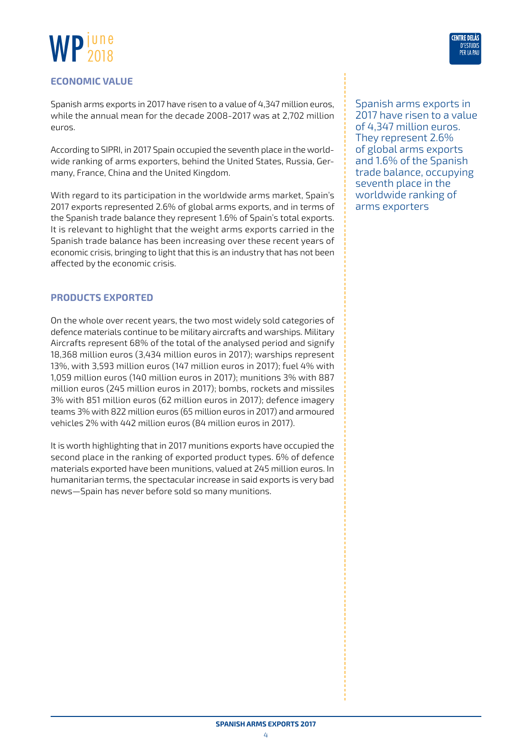



#### **ECONOMIC VALUE**

Spanish arms exports in 2017 have risen to a value of 4,347 million euros, while the annual mean for the decade 2008-2017 was at 2,702 million euros.

According to SIPRI, in 2017 Spain occupied the seventh place in the worldwide ranking of arms exporters, behind the United States, Russia, Germany, France, China and the United Kingdom.

With regard to its participation in the worldwide arms market, Spain's 2017 exports represented 2.6% of global arms exports, and in terms of the Spanish trade balance they represent 1.6% of Spain's total exports. It is relevant to highlight that the weight arms exports carried in the Spanish trade balance has been increasing over these recent years of economic crisis, bringing to light that this is an industry that has not been affected by the economic crisis.

#### **PRODUCTS EXPORTED**

On the whole over recent years, the two most widely sold categories of defence materials continue to be military aircrafts and warships. Military Aircrafts represent 68% of the total of the analysed period and signify 18,368 million euros (3,434 million euros in 2017); warships represent 13%, with 3,593 million euros (147 million euros in 2017); fuel 4% with 1,059 million euros (140 million euros in 2017); munitions 3% with 887 million euros (245 million euros in 2017); bombs, rockets and missiles 3% with 851 million euros (62 million euros in 2017); defence imagery teams 3% with 822 million euros (65 million euros in 2017) and armoured vehicles 2% with 442 million euros (84 million euros in 2017).

It is worth highlighting that in 2017 munitions exports have occupied the second place in the ranking of exported product types. 6% of defence materials exported have been munitions, valued at 245 million euros. In humanitarian terms, the spectacular increase in said exports is very bad news—Spain has never before sold so many munitions.

Spanish arms exports in 2017 have risen to a value of 4,347 million euros. They represent 2.6% of global arms exports and 1.6% of the Spanish trade balance, occupying seventh place in the worldwide ranking of arms exporters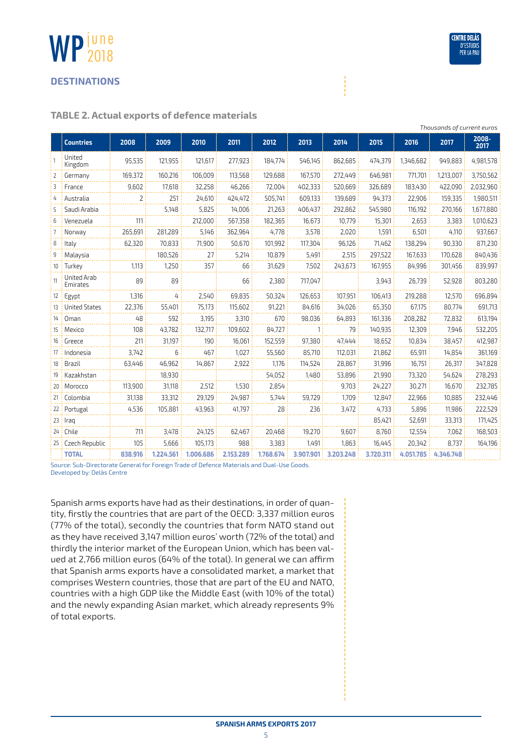#### **DESTINATIONS**

june 2018

WP

#### **TABLE 2. Actual exports of defence materials**

|     | Thousands of current euros |         |                |           |           |           |           |           |           |           |           |               |
|-----|----------------------------|---------|----------------|-----------|-----------|-----------|-----------|-----------|-----------|-----------|-----------|---------------|
|     | <b>Countries</b>           | 2008    | 2009           | 2010      | 2011      | 2012      | 2013      | 2014      | 2015      | 2016      | 2017      | 2008-<br>2017 |
|     | United<br>Kingdom          | 95,535  | 121,955        | 121,617   | 277,923   | 184,774   | 546,145   | 862,685   | 474,379   | 1,346,682 | 949,883   | 4,981,578     |
| 2   | Germany                    | 169,372 | 160,216        | 106,009   | 113,568   | 129,688   | 167,570   | 272,449   | 646,981   | 771,701   | 1,213,007 | 3,750,562     |
| 3   | France                     | 9,602   | 17,618         | 32,258    | 46,266    | 72,004    | 402,333   | 520,669   | 326,689   | 183,430   | 422,090   | 2,032,960     |
| 4   | Australia                  | 2       | 251            | 24,610    | 424,472   | 505,741   | 609,133   | 139,689   | 94,373    | 22,906    | 159,335   | 1,980,511     |
| 5   | Saudi Arabia               |         | 5,148          | 5,825     | 14,006    | 21,263    | 406,437   | 292,862   | 545,980   | 116,192   | 270,166   | 1,677,880     |
| 6   | Venezuela                  | 111     |                | 212,000   | 567,358   | 182,365   | 16,673    | 10,779    | 15,301    | 2,653     | 3,383     | 1,010,623     |
| 7   | Norway                     | 265,691 | 281,289        | 5,146     | 362,964   | 4,778     | 3,578     | 2,020     | 1,591     | 6,501     | 4,110     | 937,667       |
| 8   | Italy                      | 62,320  | 70,833         | 71,900    | 50,670    | 101,992   | 117,304   | 96,126    | 71,462    | 138,294   | 90,330    | 871,230       |
| 9   | Malaysia                   |         | 180,526        | 27        | 5,214     | 10,879    | 5,491     | 2,515     | 297,522   | 167,633   | 170,628   | 840,436       |
| 10  | Turkey                     | 1,113   | 1,250          | 357       | 66        | 31,629    | 7,502     | 243,673   | 167,955   | 84,996    | 301,456   | 839,997       |
| 11  | United Arab<br>Emirates    | 89      | 89             |           | 66        | 2,380     | 717,047   |           | 3,943     | 26,739    | 52,928    | 803,280       |
| 12  | Egypt                      | 1,316   | 4 <sup>1</sup> | 2,540     | 69,835    | 50,324    | 126,653   | 107,951   | 106,413   | 219,288   | 12,570    | 696,894       |
| 13  | <b>United States</b>       | 22,376  | 55,401         | 75,173    | 115,602   | 91,221    | 84,616    | 34,026    | 65,350    | 67,175    | 80,774    | 691,713       |
| 14  | Oman                       | 48      | 592            | 3,195     | 3.310     | 670       | 98,036    | 64,893    | 161,336   | 208,282   | 72,832    | 613,194       |
| 15  | Mexico                     | 108     | 43,782         | 132,717   | 109,602   | 84,727    | 1         | 79        | 140,935   | 12,309    | 7,946     | 532,205       |
| 16  | Greece                     | 211     | 31,197         | 190       | 16,061    | 152,559   | 97,380    | 47,444    | 18,652    | 10,834    | 38,457    | 412,987       |
| 17  | Indonesia                  | 3,742   | 6              | 467       | 1,027     | 55,560    | 85,710    | 112,031   | 21,862    | 65,911    | 14,854    | 361,169       |
| 18  | Brazil                     | 63,446  | 46.962         | 14.867    | 2.922     | 1.176     | 114.524   | 28,867    | 31,996    | 16,751    | 26,317    | 347,828       |
| 19  | Kazakhstan                 |         | 18,930         |           |           | 54,052    | 1,480     | 53,896    | 21,990    | 73,320    | 54,624    | 278,293       |
|     | 20   Morocco               | 113,900 | 31,118         | 2,512     | 1,530     | 2,854     |           | 9,703     | 24,227    | 30,271    | 16,670    | 232,785       |
| 21  | Colombia                   | 31,138  | 33,312         | 29,129    | 24,987    | 5,744     | 59,729    | 1,709     | 12,847    | 22,966    | 10,885    | 232,446       |
| 22: | Portugal                   | 4,536   | 105,881        | 43,963    | 41,797    | 28        | 236       | 3,472     | 4,733     | 5,896     | 11,986    | 222,529       |
| 23  | Iraq                       |         |                |           |           |           |           |           | 85,421    | 52,691    | 33,313    | 171,425       |
| 24: | Chile                      | 711     | 3,478          | 24,125    | 62,467    | 20,468    | 19,270    | 9,607     | 8,760     | 12,554    | 7,062     | 168,503       |
|     | 25   Czech Republic        | 105     | 5,666          | 105,173   | 988       | 3,383     | 1,491     | 1,863     | 16,445    | 20,342    | 8,737     | 164,196       |
|     | <b>TOTAL</b>               | 838.916 | 1.224.561      | 1.006.686 | 2.153.289 | 1.768.674 | 3.907.901 | 3.203.248 | 3.720.311 | 4.051.785 | 4.346.748 |               |

Source: Sub-Directorate General for Foreign Trade of Defence Materials and Dual-Use Goods. Developed by: Delàs Centre

Spanish arms exports have had as their destinations, in order of quantity, firstly the countries that are part of the OECD: 3,337 million euros (77% of the total), secondly the countries that form NATO stand out as they have received 3,147 million euros' worth (72% of the total) and thirdly the interior market of the European Union, which has been valued at 2,766 million euros (64% of the total). In general we can affirm that Spanish arms exports have a consolidated market, a market that comprises Western countries, those that are part of the EU and NATO, countries with a high GDP like the Middle East (with 10% of the total) and the newly expanding Asian market, which already represents 9% of total exports.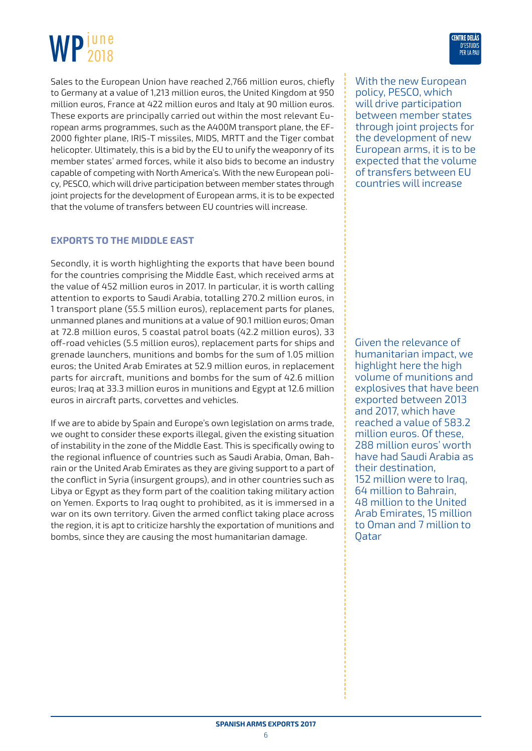Sales to the European Union have reached 2,766 million euros, chiefly to Germany at a value of 1,213 million euros, the United Kingdom at 950 million euros, France at 422 million euros and Italy at 90 million euros. These exports are principally carried out within the most relevant European arms programmes, such as the A400M transport plane, the EF-2000 fighter plane, IRIS-T missiles, MIDS, MRTT and the Tiger combat helicopter. Ultimately, this is a bid by the EU to unify the weaponry of its member states' armed forces, while it also bids to become an industry capable of competing with North America's. With the new European policy, PESCO, which will drive participation between member states through joint projects for the development of European arms, it is to be expected that the volume of transfers between EU countries will increase.

#### **EXPORTS TO THE MIDDLE EAST**

Secondly, it is worth highlighting the exports that have been bound for the countries comprising the Middle East, which received arms at the value of 452 million euros in 2017. In particular, it is worth calling attention to exports to Saudi Arabia, totalling 270.2 million euros, in 1 transport plane (55.5 million euros), replacement parts for planes, unmanned planes and munitions at a value of 90.1 million euros; Oman at 72.8 million euros, 5 coastal patrol boats (42.2 million euros), 33 off-road vehicles (5.5 million euros), replacement parts for ships and grenade launchers, munitions and bombs for the sum of 1.05 million euros; the United Arab Emirates at 52.9 million euros, in replacement parts for aircraft, munitions and bombs for the sum of 42.6 million euros; Iraq at 33.3 million euros in munitions and Egypt at 12.6 million euros in aircraft parts, corvettes and vehicles.

If we are to abide by Spain and Europe's own legislation on arms trade, we ought to consider these exports illegal, given the existing situation of instability in the zone of the Middle East. This is specifically owing to the regional influence of countries such as Saudi Arabia, Oman, Bahrain or the United Arab Emirates as they are giving support to a part of the conflict in Syria (insurgent groups), and in other countries such as Libya or Egypt as they form part of the coalition taking military action on Yemen. Exports to Iraq ought to prohibited, as it is immersed in a war on its own territory. Given the armed conflict taking place across the region, it is apt to criticize harshly the exportation of munitions and bombs, since they are causing the most humanitarian damage.

With the new European policy, PESCO, which will drive participation between member states through joint projects for the development of new European arms, it is to be expected that the volume of transfers between EU countries will increase

Given the relevance of humanitarian impact, we highlight here the high volume of munitions and explosives that have been exported between 2013 and 2017, which have reached a value of 583.2 million euros. Of these, 288 million euros' worth have had Saudi Arabia as their destination, 152 million were to Iraq, 64 million to Bahrain, 48 million to the United Arab Emirates, 15 million to Oman and 7 million to Qatar

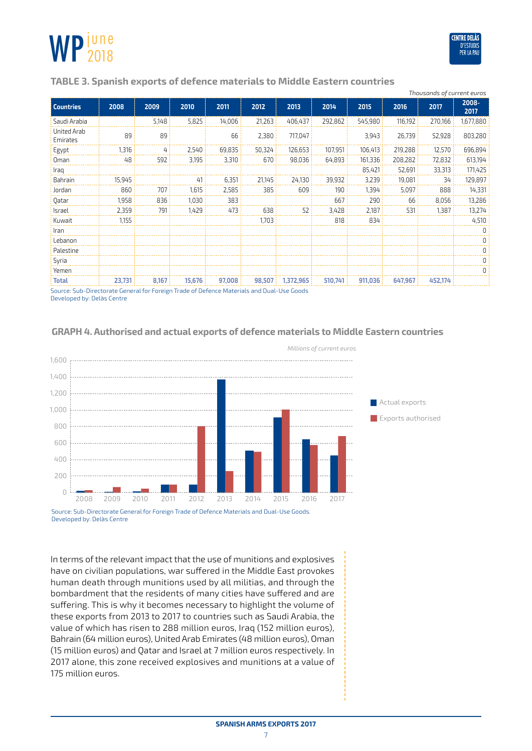

#### **TABLE 3. Spanish exports of defence materials to Middle Eastern countries**

|                         |        |       |        |        |        |           |         |         |         | Thousands of current euros |               |
|-------------------------|--------|-------|--------|--------|--------|-----------|---------|---------|---------|----------------------------|---------------|
| <b>Countries</b>        | 2008   | 2009  | 2010   | 2011   | 2012   | 2013      | 2014    | 2015    | 2016    | 2017                       | 2008-<br>2017 |
| Saudi Arabia            |        | 5,148 | 5,825  | 14,006 | 21,263 | 406.437   | 292,862 | 545,980 | 116,192 | 270,166                    | 1,677,880     |
| United Arab<br>Emirates | 89     | 89    |        | 66     | 2,380  | 717,047   |         | 3,943   | 26,739  | 52,928                     | 803,280       |
| Egypt                   | 1,316  | 4     | 2,540  | 69,835 | 50,324 | 126,653   | 107,951 | 106,413 | 219,288 | 12,570                     | 696,894       |
| 0 <sub>man</sub>        | 48     | 592   | 3,195  | 3,310  | 670    | 98,036    | 64,893  | 161,336 | 208,282 | 72,832                     | 613,194       |
| Iraq                    |        |       |        |        |        |           |         | 85,421  | 52,691  | 33,313                     | 171,425       |
| Bahrain                 | 15,945 |       | 41     | 6,351  | 21,145 | 24,130    | 39,932  | 3,239   | 19,081  | 34                         | 129,897       |
| Jordan                  | 860    | 707   | 1,615  | 2,585  | 385    | 609       | 190     | 1,394   | 5,097   | 888                        | 14,331        |
| 0atar                   | 1,958  | 836   | 1.030  | 383    |        |           | 667     | 290     | 66      | 8,056                      | 13,286        |
| Israel                  | 2,359  | 791   | 1,429  | 473    | 638    | 52        | 3,428   | 2,187   | 531     | 1,387                      | 13,274        |
| Kuwait                  | 1,155  |       |        |        | 1,703  |           | 818     | 834     |         |                            | 4,510         |
| Iran                    |        |       |        |        |        |           |         |         |         |                            | 0             |
| Lebanon                 |        |       |        |        |        |           |         |         |         |                            | 0             |
| Palestine               |        |       |        |        |        |           |         |         |         |                            | 0             |
| Syria                   |        |       |        |        |        |           |         |         |         |                            | 0             |
| Yemen                   |        |       |        |        |        |           |         |         |         |                            | 0             |
| <b>Total</b>            | 23,731 | 8,167 | 15.676 | 97,008 | 98,507 | 1,372,965 | 510.741 | 911,036 | 647.967 | 452.174                    |               |

Source: Sub-Directorate General for Foreign Trade of Defence Materials and Dual-Use Goods Developed by: Delàs Centre



#### **GRAPH 4. Authorised and actual exports of defence materials to Middle Eastern countries**

Source: Sub-Directorate General for Foreign Trade of Defence Materials and Dual-Use Goods. Developed by: Delàs Centre

In terms of the relevant impact that the use of munitions and explosives have on civilian populations, war suffered in the Middle East provokes human death through munitions used by all militias, and through the bombardment that the residents of many cities have suffered and are suffering. This is why it becomes necessary to highlight the volume of these exports from 2013 to 2017 to countries such as Saudi Arabia, the value of which has risen to 288 million euros, Iraq (152 million euros), Bahrain (64 million euros), United Arab Emirates (48 million euros), Oman (15 million euros) and Qatar and Israel at 7 million euros respectively. In 2017 alone, this zone received explosives and munitions at a value of 175 million euros.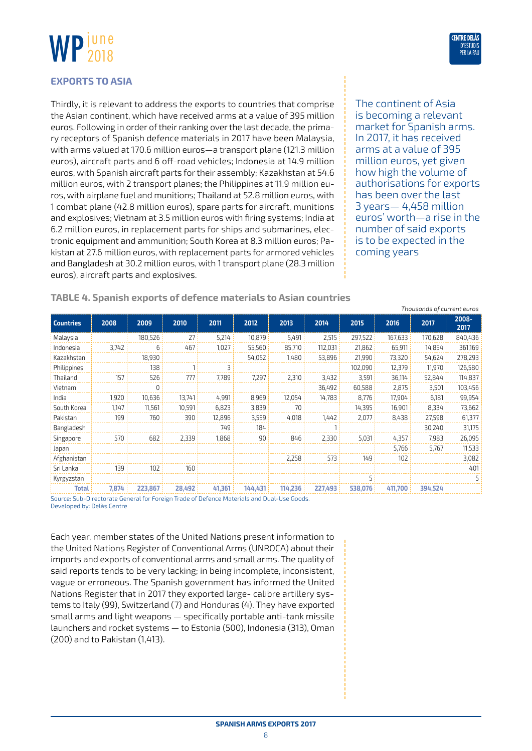

#### **EXPORTS TO ASIA**

Thirdly, it is relevant to address the exports to countries that comprise the Asian continent, which have received arms at a value of 395 million euros. Following in order of their ranking over the last decade, the primary receptors of Spanish defence materials in 2017 have been Malaysia, with arms valued at 170.6 million euros—a transport plane (121.3 million euros), aircraft parts and 6 off-road vehicles; Indonesia at 14.9 million euros, with Spanish aircraft parts for their assembly; Kazakhstan at 54.6 million euros, with 2 transport planes; the Philippines at 11.9 million euros, with airplane fuel and munitions; Thailand at 52.8 million euros, with 1 combat plane (42.8 million euros), spare parts for aircraft, munitions and explosives; Vietnam at 3.5 million euros with firing systems; India at 6.2 million euros, in replacement parts for ships and submarines, electronic equipment and ammunition; South Korea at 8.3 million euros; Pakistan at 27.6 million euros, with replacement parts for armored vehicles and Bangladesh at 30.2 million euros, with 1 transport plane (28.3 million euros), aircraft parts and explosives.

The continent of Asia is becoming a relevant market for Spanish arms. In 2017, it has received arms at a value of 395 million euros, yet given how high the volume of authorisations for exports has been over the last 3 years— 4,458 million euros' worth—a rise in the number of said exports is to be expected in the coming years

*Thousands of current euros*

| <b>Countries</b> | 2008  | 2009     | 2010   | 2011   | 2012    | 2013    | 2014    | 2015    | 2016    | 2017    | 2008-<br>2017 |
|------------------|-------|----------|--------|--------|---------|---------|---------|---------|---------|---------|---------------|
| Malaysia         |       | 180,526  | 27     | 5,214  | 10,879  | 5,491   | 2,515   | 297,522 | 167,633 | 170,628 | 840,436       |
| Indonesia        | 3,742 | 6        | 467    | 1,027  | 55,560  | 85,710  | 112,031 | 21,862  | 65,911  | 14,854  | 361,169       |
| Kazakhstan       |       | 18,930   |        |        | 54.052  | 1.480   | 53,896  | 21,990  | 73,320  | 54,624  | 278,293       |
| Philippines      |       | 138      |        | 3      |         |         |         | 102.090 | 12,379  | 11.970  | 126,580       |
| Thailand         | 157   | 526      | 777    | 7.789  | 7,297   | 2,310   | 3,432   | 3,591   | 36,114  | 52,844  | 114,837       |
| Vietnam          |       | $\Omega$ |        |        |         |         | 36.492  | 60,588  | 2,875   | 3,501   | 103,456       |
| India            | 1.920 | 10.636   | 13.741 | 4,991  | 8,969   | 12.054  | 14.783  | 8,776   | 17,904  | 6,181   | 99,954        |
| South Korea      | 1.147 | 11,561   | 10,591 | 6,823  | 3,839   | 70      |         | 14,395  | 16,901  | 8,334   | 73,662        |
| Pakistan         | 199   | 760      | 390    | 12,896 | 3,559   | 4,018   | 1,442   | 2,077   | 8,438   | 27,598  | 61,377        |
| Bangladesh       |       |          |        | 749    | 184     |         |         |         |         | 30.240  | 31,175        |
| Singapore        | 570   | 682      | 2.339  | 1.868  | 90      | 846     | 2.330   | 5,031   | 4,357   | 7,983   | 26,095        |
| Japan            |       |          |        |        |         |         |         |         | 5,766   | 5,767   | 11,533        |
| Afghanistan      |       |          |        |        |         | 2,258   | 573     | 149     | 102     |         | 3,082         |
| Sri Lanka        | 139   | 102      | 160    |        |         |         |         |         |         |         | 401           |
| Kyrgyzstan       |       |          |        |        |         |         |         | 5       |         |         | 5             |
| Total            | 7.874 | 223.867  | 28.492 | 41.361 | 144.431 | 114.236 | 227.493 | 538.076 | 411.700 | 394,524 |               |

**TABLE 4. Spanish exports of defence materials to Asian countries**

Source: Sub-Directorate General for Foreign Trade of Defence Materials and Dual-Use Goods. Developed by: Delàs Centre

Each year, member states of the United Nations present information to the United Nations Register of Conventional Arms (UNROCA) about their imports and exports of conventional arms and small arms. The quality of said reports tends to be very lacking; in being incomplete, inconsistent, vague or erroneous. The Spanish government has informed the United Nations Register that in 2017 they exported large- calibre artillery systems to Italy (99), Switzerland (7) and Honduras (4). They have exported small arms and light weapons — specifically portable anti-tank missile launchers and rocket systems — to Estonia (500), Indonesia (313), Oman (200) and to Pakistan (1,413).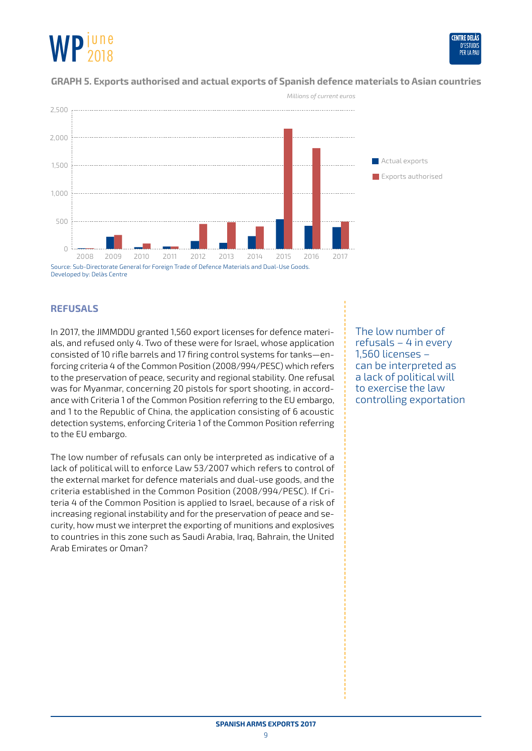

#### **GRAPH 5. Exports authorised and actual exports of Spanish defence materials to Asian countries**



Developed by: Delàs Centre

#### **REFUSALS**

In 2017, the JIMMDDU granted 1,560 export licenses for defence materials, and refused only 4. Two of these were for Israel, whose application consisted of 10 rifle barrels and 17 firing control systems for tanks—enforcing criteria 4 of the Common Position (2008/994/PESC) which refers to the preservation of peace, security and regional stability. One refusal was for Myanmar, concerning 20 pistols for sport shooting, in accordance with Criteria 1 of the Common Position referring to the EU embargo, and 1 to the Republic of China, the application consisting of 6 acoustic detection systems, enforcing Criteria 1 of the Common Position referring to the EU embargo.

The low number of refusals can only be interpreted as indicative of a lack of political will to enforce Law 53/2007 which refers to control of the external market for defence materials and dual-use goods, and the criteria established in the Common Position (2008/994/PESC). If Criteria 4 of the Common Position is applied to Israel, because of a risk of increasing regional instability and for the preservation of peace and security, how must we interpret the exporting of munitions and explosives to countries in this zone such as Saudi Arabia, Iraq, Bahrain, the United Arab Emirates or Oman?

The low number of refusals – 4 in every 1,560 licenses – can be interpreted as a lack of political will to exercise the law controlling exportation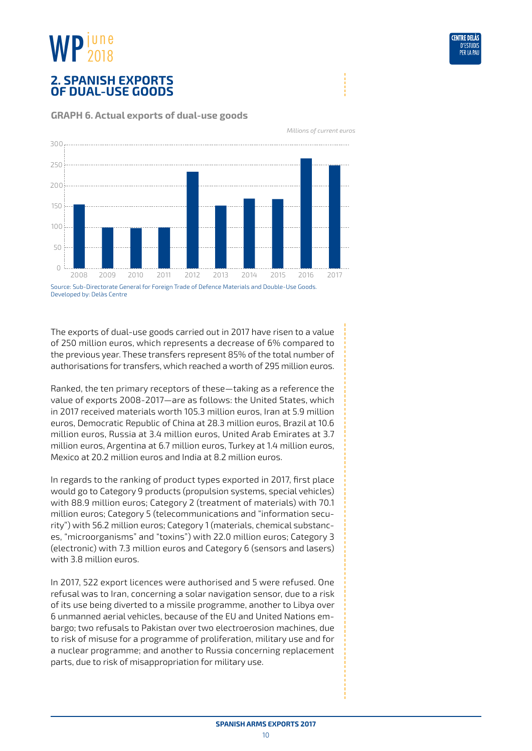## <span id="page-9-0"></span>**2. SPANISH EXPORTS OF DUAL-USE GOODS**



**GRAPH 6. Actual exports of dual-use goods** 

The exports of dual-use goods carried out in 2017 have risen to a value of 250 million euros, which represents a decrease of 6% compared to the previous year. These transfers represent 85% of the total number of authorisations for transfers, which reached a worth of 295 million euros.

Ranked, the ten primary receptors of these—taking as a reference the value of exports 2008-2017—are as follows: the United States, which in 2017 received materials worth 105.3 million euros, Iran at 5.9 million euros, Democratic Republic of China at 28.3 million euros, Brazil at 10.6 million euros, Russia at 3.4 million euros, United Arab Emirates at 3.7 million euros, Argentina at 6.7 million euros, Turkey at 1.4 million euros, Mexico at 20.2 million euros and India at 8.2 million euros.

In regards to the ranking of product types exported in 2017, first place would go to Category 9 products (propulsion systems, special vehicles) with 88.9 million euros; Category 2 (treatment of materials) with 70.1 million euros; Category 5 (telecommunications and "information security") with 56.2 million euros; Category 1 (materials, chemical substances, "microorganisms" and "toxins") with 22.0 million euros; Category 3 (electronic) with 7.3 million euros and Category 6 (sensors and lasers) with 3.8 million euros.

In 2017, 522 export licences were authorised and 5 were refused. One refusal was to Iran, concerning a solar navigation sensor, due to a risk of its use being diverted to a missile programme, another to Libya over 6 unmanned aerial vehicles, because of the EU and United Nations embargo; two refusals to Pakistan over two electroerosion machines, due to risk of misuse for a programme of proliferation, military use and for a nuclear programme; and another to Russia concerning replacement parts, due to risk of misappropriation for military use.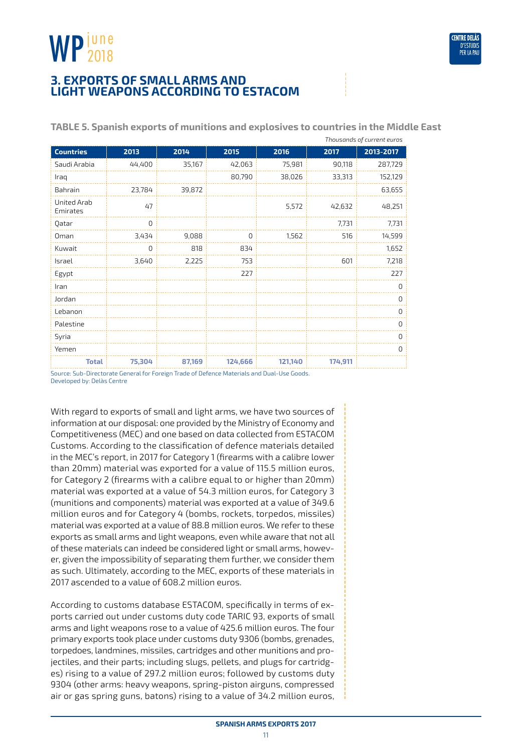

## <span id="page-10-0"></span>**3. EXPORTS OF SMALL ARMS AND LIGHT WEAPONS ACCORDING TO ESTACOM**

|                         | Thousands of current euros |        |         |         |         |                                                                                           |  |  |  |  |  |  |  |  |  |  |  |
|-------------------------|----------------------------|--------|---------|---------|---------|-------------------------------------------------------------------------------------------|--|--|--|--|--|--|--|--|--|--|--|
| <b>Countries</b>        | 2013                       | 2014   | 2015    | 2016    | 2017    | 2013-2017                                                                                 |  |  |  |  |  |  |  |  |  |  |  |
| Saudi Arabia            | 44,400                     | 35,167 | 42,063  | 75,981  | 90,118  | 287,729                                                                                   |  |  |  |  |  |  |  |  |  |  |  |
| Iraq                    |                            |        | 80,790  | 38,026  | 33,313  | 152,129                                                                                   |  |  |  |  |  |  |  |  |  |  |  |
| Bahrain                 | 23,784                     | 39,872 |         |         |         | 63,655                                                                                    |  |  |  |  |  |  |  |  |  |  |  |
| United Arab<br>Emirates | 47                         |        |         | 5,572   | 42,632  | 48,251                                                                                    |  |  |  |  |  |  |  |  |  |  |  |
| Qatar                   | $\overline{0}$             |        |         |         | 7,731   | 7,731                                                                                     |  |  |  |  |  |  |  |  |  |  |  |
| Oman                    | 3,434                      | 9,088  | 0       | 1,562   | 516     | 14,599                                                                                    |  |  |  |  |  |  |  |  |  |  |  |
| Kuwait                  | $\overline{0}$             | 818    | 834     |         |         | 1,652                                                                                     |  |  |  |  |  |  |  |  |  |  |  |
| Israel                  | 3,640                      | 2,225  | 753     |         | 601     | 7,218                                                                                     |  |  |  |  |  |  |  |  |  |  |  |
| Egypt                   |                            |        | 227     |         |         | 227                                                                                       |  |  |  |  |  |  |  |  |  |  |  |
| Iran                    |                            |        |         |         |         | $\Omega$                                                                                  |  |  |  |  |  |  |  |  |  |  |  |
| Jordan                  |                            |        |         |         |         | $\Omega$                                                                                  |  |  |  |  |  |  |  |  |  |  |  |
| Lebanon                 |                            |        |         |         |         | 0                                                                                         |  |  |  |  |  |  |  |  |  |  |  |
| Palestine               |                            |        |         |         |         | $\Omega$                                                                                  |  |  |  |  |  |  |  |  |  |  |  |
| Syria                   |                            |        |         |         |         | $\Omega$                                                                                  |  |  |  |  |  |  |  |  |  |  |  |
| Yemen                   |                            |        |         |         |         | $\Omega$                                                                                  |  |  |  |  |  |  |  |  |  |  |  |
| <b>Total</b>            | 75,304                     | 87,169 | 124,666 | 121,140 | 174,911 |                                                                                           |  |  |  |  |  |  |  |  |  |  |  |
|                         |                            |        |         |         |         | Course Sub Disectorate General for Fergian Trade of Defense Materials and Dual, Hse Goods |  |  |  |  |  |  |  |  |  |  |  |

**TABLE 5. Spanish exports of munitions and explosives to countries in the Middle East**

purce: Sub-Directorate General for Foreign Trade of Defence Materials and Dual-Use Goods Developed by: Delàs Centre

With regard to exports of small and light arms, we have two sources of information at our disposal: one provided by the Ministry of Economy and Competitiveness (MEC) and one based on data collected from ESTACOM Customs. According to the classification of defence materials detailed in the MEC's report, in 2017 for Category 1 (firearms with a calibre lower than 20mm) material was exported for a value of 115.5 million euros, for Category 2 (firearms with a calibre equal to or higher than 20mm) material was exported at a value of 54.3 million euros, for Category 3 (munitions and components) material was exported at a value of 349.6 million euros and for Category 4 (bombs, rockets, torpedos, missiles) material was exported at a value of 88.8 million euros. We refer to these exports as small arms and light weapons, even while aware that not all of these materials can indeed be considered light or small arms, however, given the impossibility of separating them further, we consider them as such. Ultimately, according to the MEC, exports of these materials in 2017 ascended to a value of 608.2 million euros.

According to customs database ESTACOM, specifically in terms of exports carried out under customs duty code TARIC 93, exports of small arms and light weapons rose to a value of 425.6 million euros. The four primary exports took place under customs duty 9306 (bombs, grenades, torpedoes, landmines, missiles, cartridges and other munitions and projectiles, and their parts; including slugs, pellets, and plugs for cartridges) rising to a value of 297.2 million euros; followed by customs duty 9304 (other arms: heavy weapons, spring-piston airguns, compressed air or gas spring guns, batons) rising to a value of 34.2 million euros,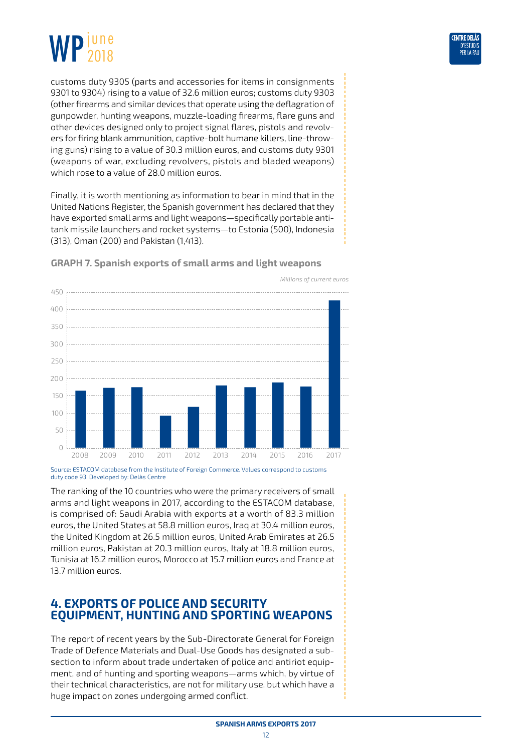<span id="page-11-0"></span>



customs duty 9305 (parts and accessories for items in consignments 9301 to 9304) rising to a value of 32.6 million euros; customs duty 9303 (other firearms and similar devices that operate using the deflagration of gunpowder, hunting weapons, muzzle-loading firearms, flare guns and other devices designed only to project signal flares, pistols and revolvers for firing blank ammunition, captive-bolt humane killers, line-throwing guns) rising to a value of 30.3 million euros, and customs duty 9301 (weapons of war, excluding revolvers, pistols and bladed weapons) which rose to a value of 28.0 million euros.

Finally, it is worth mentioning as information to bear in mind that in the United Nations Register, the Spanish government has declared that they have exported small arms and light weapons—specifically portable antitank missile launchers and rocket systems—to Estonia (500), Indonesia (313), Oman (200) and Pakistan (1,413).



**GRAPH 7. Spanish exports of small arms and light weapons**

Source: ESTACOM database from the Institute of Foreign Commerce. Values correspond to customs duty code 93. Developed by: Delàs Centre

The ranking of the 10 countries who were the primary receivers of small arms and light weapons in 2017, according to the ESTACOM database, is comprised of: Saudi Arabia with exports at a worth of 83.3 million euros, the United States at 58.8 million euros, Iraq at 30.4 million euros, the United Kingdom at 26.5 million euros, United Arab Emirates at 26.5 million euros, Pakistan at 20.3 million euros, Italy at 18.8 million euros, Tunisia at 16.2 million euros, Morocco at 15.7 million euros and France at 13.7 million euros.

## **4. EXPORTS OF POLICE AND SECURITY EQUIPMENT, HUNTING AND SPORTING WEAPONS**

The report of recent years by the Sub-Directorate General for Foreign Trade of Defence Materials and Dual-Use Goods has designated a subsection to inform about trade undertaken of police and antiriot equipment, and of hunting and sporting weapons—arms which, by virtue of their technical characteristics, are not for military use, but which have a huge impact on zones undergoing armed conflict.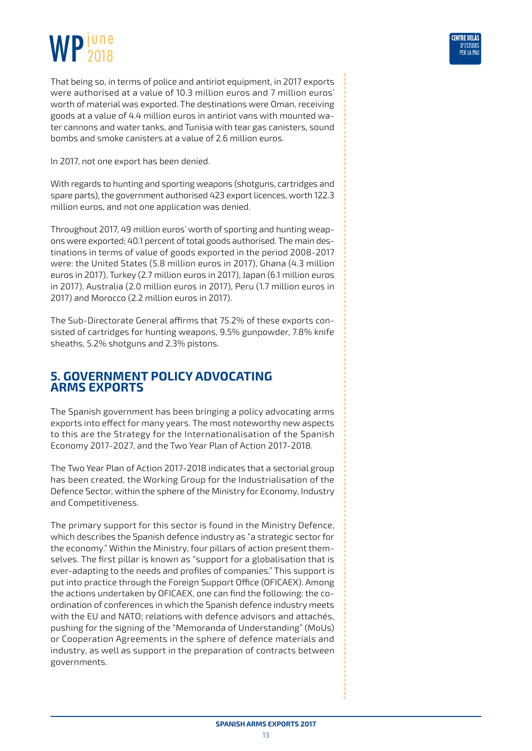<span id="page-12-0"></span>That being so, in terms of police and antiriot equipment, in 2017 exports were authorised at a value of 10.3 million euros and 7 million euros' worth of material was exported. The destinations were Oman, receiving goods at a value of 4.4 million euros in antiriot vans with mounted water cannons and water tanks, and Tunisia with tear gas canisters, sound bombs and smoke canisters at a value of 2.6 million euros.

In 2017, not one export has been denied.

With regards to hunting and sporting weapons (shotguns, cartridges and spare parts), the government authorised 423 export licences, worth 122.3 million euros, and not one application was denied.

Throughout 2017, 49 million euros' worth of sporting and hunting weapons were exported; 40.1 percent of total goods authorised. The main destinations in terms of value of goods exported in the period 2008-2017 were: the United States (5.8 million euros in 2017), Ghana (4.3 million euros in 2017), Turkey (2.7 million euros in 2017), Japan (6.1 million euros in 2017), Australia (2.0 million euros in 2017), Peru (1.7 million euros in 2017) and Morocco (2.2 million euros in 2017).

The Sub-Directorate General affirms that 75.2% of these exports consisted of cartridges for hunting weapons, 9.5% gunpowder, 7.8% knife sheaths, 5.2% shotguns and 2.3% pistons.

## **5. GOVERNMENT POLICY ADVOCATING ARMS EXPORTS**

The Spanish government has been bringing a policy advocating arms exports into effect for many years. The most noteworthy new aspects to this are the Strategy for the Internationalisation of the Spanish Economy 2017-2027, and the Two Year Plan of Action 2017-2018.

The Two Year Plan of Action 2017-2018 indicates that a sectorial group has been created, the Working Group for the Industrialisation of the Defence Sector, within the sphere of the Ministry for Economy, Industry and Competitiveness.

The primary support for this sector is found in the Ministry Defence, which describes the Spanish defence industry as "a strategic sector for the economy." Within the Ministry, four pillars of action present themselves. The first pillar is known as "support for a globalisation that is ever-adapting to the needs and profiles of companies." This support is put into practice through the Foreign Support Office (OFICAEX). Among the actions undertaken by OFICAEX, one can find the following: the coordination of conferences in which the Spanish defence industry meets with the EU and NATO; relations with defence advisors and attachés, pushing for the signing of the "Memoranda of Understanding" (MoUs) or Cooperation Agreements in the sphere of defence materials and industry, as well as support in the preparation of contracts between governments.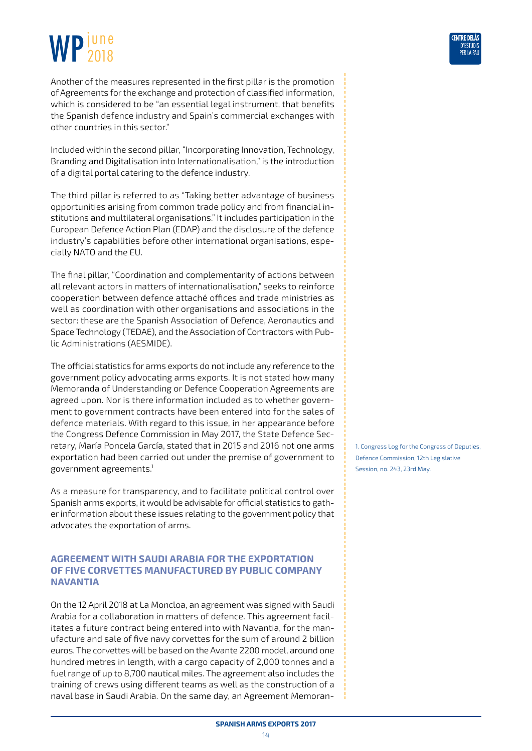Another of the measures represented in the first pillar is the promotion of Agreements for the exchange and protection of classified information, which is considered to be "an essential legal instrument, that benefits the Spanish defence industry and Spain's commercial exchanges with other countries in this sector."

Included within the second pillar, "Incorporating Innovation, Technology, Branding and Digitalisation into Internationalisation," is the introduction of a digital portal catering to the defence industry.

The third pillar is referred to as "Taking better advantage of business opportunities arising from common trade policy and from financial institutions and multilateral organisations." It includes participation in the European Defence Action Plan (EDAP) and the disclosure of the defence industry's capabilities before other international organisations, especially NATO and the EU.

The final pillar, "Coordination and complementarity of actions between all relevant actors in matters of internationalisation," seeks to reinforce cooperation between defence attaché offices and trade ministries as well as coordination with other organisations and associations in the sector: these are the Spanish Association of Defence, Aeronautics and Space Technology (TEDAE), and the Association of Contractors with Public Administrations (AESMIDE).

The official statistics for arms exports do not include any reference to the government policy advocating arms exports. It is not stated how many Memoranda of Understanding or Defence Cooperation Agreements are agreed upon. Nor is there information included as to whether government to government contracts have been entered into for the sales of defence materials. With regard to this issue, in her appearance before the Congress Defence Commission in May 2017, the State Defence Secretary, María Poncela García, stated that in 2015 and 2016 not one arms exportation had been carried out under the premise of government to government agreements.1

As a measure for transparency, and to facilitate political control over Spanish arms exports, it would be advisable for official statistics to gather information about these issues relating to the government policy that advocates the exportation of arms.

#### **AGREEMENT WITH SAUDI ARABIA FOR THE EXPORTATION OF FIVE CORVETTES MANUFACTURED BY PUBLIC COMPANY NAVANTIA**

On the 12 April 2018 at La Moncloa, an agreement was signed with Saudi Arabia for a collaboration in matters of defence. This agreement facilitates a future contract being entered into with Navantia, for the manufacture and sale of five navy corvettes for the sum of around 2 billion euros. The corvettes will be based on the Avante 2200 model, around one hundred metres in length, with a cargo capacity of 2,000 tonnes and a fuel range of up to 8,700 nautical miles. The agreement also includes the training of crews using different teams as well as the construction of a naval base in Saudi Arabia. On the same day, an Agreement Memoran1. Congress Log for the Congress of Deputies, Defence Commission, 12th Legislative Session, no. 243, 23rd May.